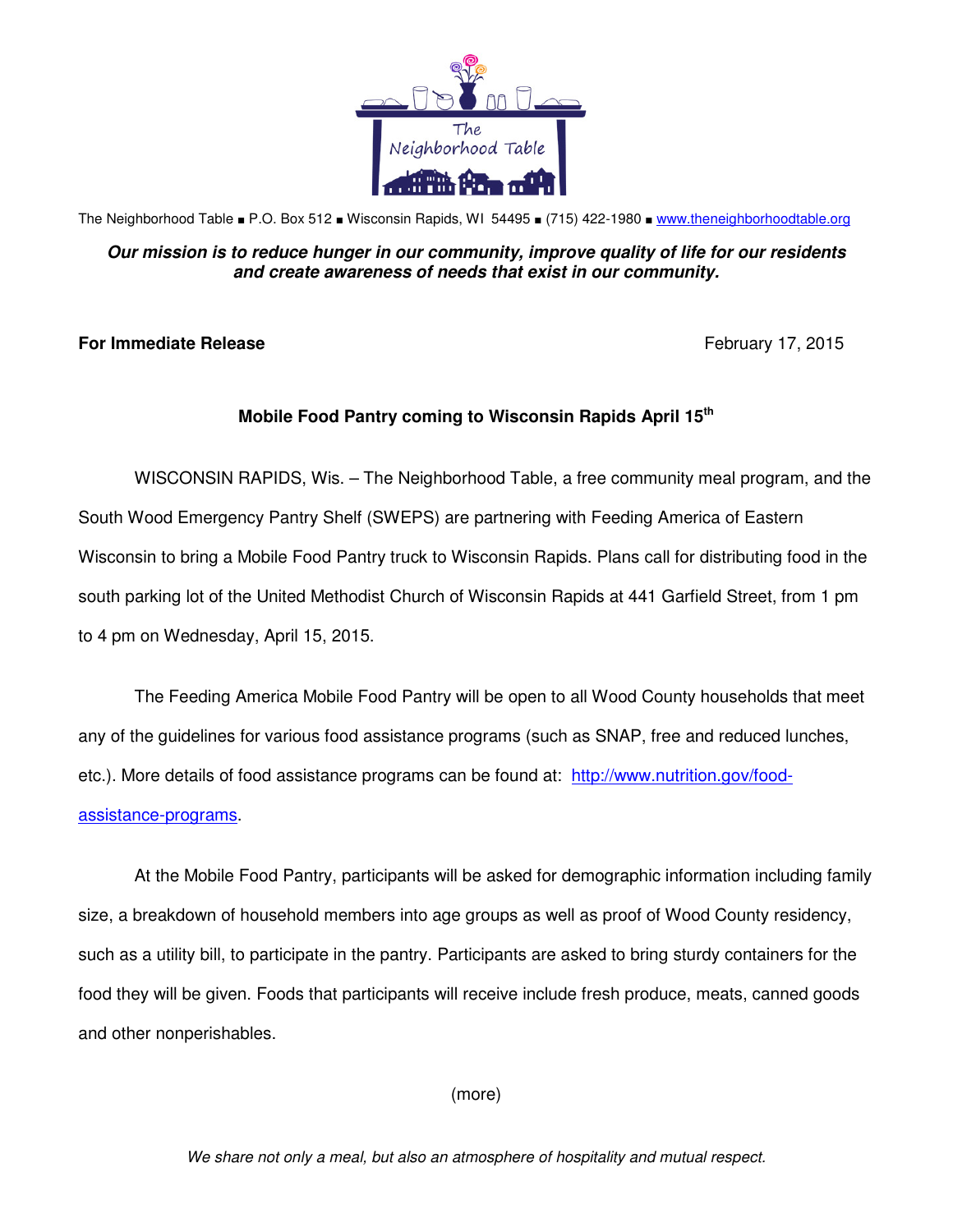

The Neighborhood Table ■ P.O. Box 512 ■ Wisconsin Rapids, WI 54495 ■ (715) 422-1980 ■ www.theneighborhoodtable.org

## **Our mission is to reduce hunger in our community, improve quality of life for our residents and create awareness of needs that exist in our community.**

## **For Immediate Release**  February 17, 2015

## **Mobile Food Pantry coming to Wisconsin Rapids April 15th**

WISCONSIN RAPIDS, Wis. – The Neighborhood Table, a free community meal program, and the South Wood Emergency Pantry Shelf (SWEPS) are partnering with Feeding America of Eastern Wisconsin to bring a Mobile Food Pantry truck to Wisconsin Rapids. Plans call for distributing food in the south parking lot of the United Methodist Church of Wisconsin Rapids at 441 Garfield Street, from 1 pm to 4 pm on Wednesday, April 15, 2015.

The Feeding America Mobile Food Pantry will be open to all Wood County households that meet any of the guidelines for various food assistance programs (such as SNAP, free and reduced lunches, etc.). More details of food assistance programs can be found at: [http://www.nutrition.gov/food](http://www.nutrition.gov/food-assistance-programs)[assistance-programs.](http://www.nutrition.gov/food-assistance-programs) 

At the Mobile Food Pantry, participants will be asked for demographic information including family size, a breakdown of household members into age groups as well as proof of Wood County residency, such as a utility bill, to participate in the pantry. Participants are asked to bring sturdy containers for the food they will be given. Foods that participants will receive include fresh produce, meats, canned goods and other nonperishables.

(more)